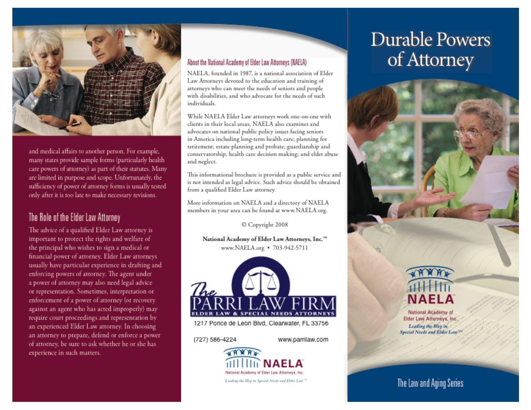

and medical affairs to another person. For example, many states provide sample forms (particularly health care powers of attorney) as part of their statutes. Many are limited in purpose and scope. Unfortunately, the sufficiency of power of attorney forms is usually tested only after it is too late to make necessary revisions.

#### The Role of the Elder Law Attorney

The advice of a qualified Elder Law attorney is important to protect the rights and welfare of the principal who wishes to sign a medical or financial power of attorney. Elder Law attorneys usually have particular experience in drafting and enforcing powers of attorney. The agent under a power of attorney may also need legal advice or representation. Sometimes, interpretation or enforcement of a power of attorney (or recovery against an agent who has acted improperly) may require court proceedings and representation by an experienced Elder Law attorney. In choosing an attorney to prepare, defend or enforce a power of attorney, be sure to ask whether he or she has experience in such matters.

#### About the National Academy of Elder Law Attorneys (NAELA)

NAELA, founded in 1987, is a national association of Elder Law Attorneys devoted to the education and training of attorneys who can meet the needs of seniors and people with disabilities, and who advocate for the needs of such individuals.

While NAELA Elder Law attorneys work one-on-one with clients in their local areas. NAELA also examines and advocates on national public policy issues facing seniors in America including long-term health care; planning for retirement; estate planning and probate; guardianship and conservatorship; health care decision making; and elder abuse and neglect.

This informational brochure is provided as a public service and is not intended as legal advice. Such advice should be obtained from a qualified Elder Law attorney.

More information on NAELA and a directory of NAELA members in your area can be found at www.NAELA.org.

C Copyright 2008

National Academy of Elder Law Attorneys, Inc."" www.NAELA.org • 703-942-5711



1217 Ponce de Leon Blvd, Clearwater, FL 33756

(727) 586-4224

www.parrilaw.com



# **Durable Powers** of Attorney



National Academy of Elder Law Attorneys, Inc. Leading the Way in Special Needs and Elder Law<sup>201</sup>

# The Law and Aging Series